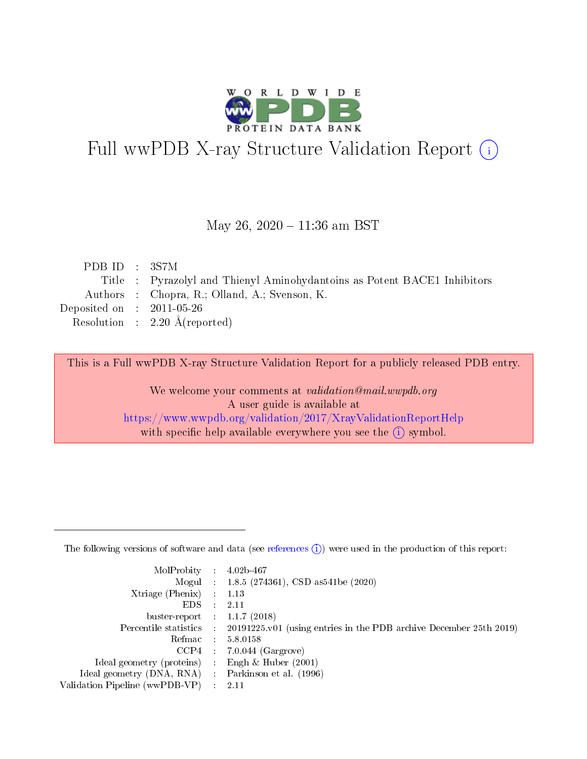

# Full wwPDB X-ray Structure Validation Report (i)

#### May 26,  $2020 - 11:36$  am BST

| PDB ID : 3S7M               |                                                                          |
|-----------------------------|--------------------------------------------------------------------------|
|                             | Title : Pyrazolyl and Thienyl Aminohydantoins as Potent BACE1 Inhibitors |
|                             | Authors : Chopra, R.; Olland, A.; Svenson, K.                            |
| Deposited on : $2011-05-26$ |                                                                          |
|                             | Resolution : $2.20 \text{ Å}$ (reported)                                 |

This is a Full wwPDB X-ray Structure Validation Report for a publicly released PDB entry.

We welcome your comments at validation@mail.wwpdb.org A user guide is available at <https://www.wwpdb.org/validation/2017/XrayValidationReportHelp> with specific help available everywhere you see the  $(i)$  symbol.

The following versions of software and data (see [references](https://www.wwpdb.org/validation/2017/XrayValidationReportHelp#references)  $(1)$ ) were used in the production of this report:

| MolProbity :                   |               | $4.02b - 467$                                                               |
|--------------------------------|---------------|-----------------------------------------------------------------------------|
|                                |               | Mogul : $1.8.5$ (274361), CSD as 541be (2020)                               |
| $X$ triage (Phenix) :          |               | 1.13                                                                        |
| EDS.                           |               | 2.11                                                                        |
| buster-report : $1.1.7$ (2018) |               |                                                                             |
| Percentile statistics :        |               | $20191225 \text{v}01$ (using entries in the PDB archive December 25th 2019) |
| Refmac :                       |               | 5.8.0158                                                                    |
| $CCP4$ :                       |               | $7.0.044$ (Gargrove)                                                        |
| Ideal geometry (proteins) :    |               | Engh $\&$ Huber (2001)                                                      |
| Ideal geometry (DNA, RNA) :    |               | Parkinson et al. (1996)                                                     |
| Validation Pipeline (wwPDB-VP) | $\mathcal{L}$ | 2.11                                                                        |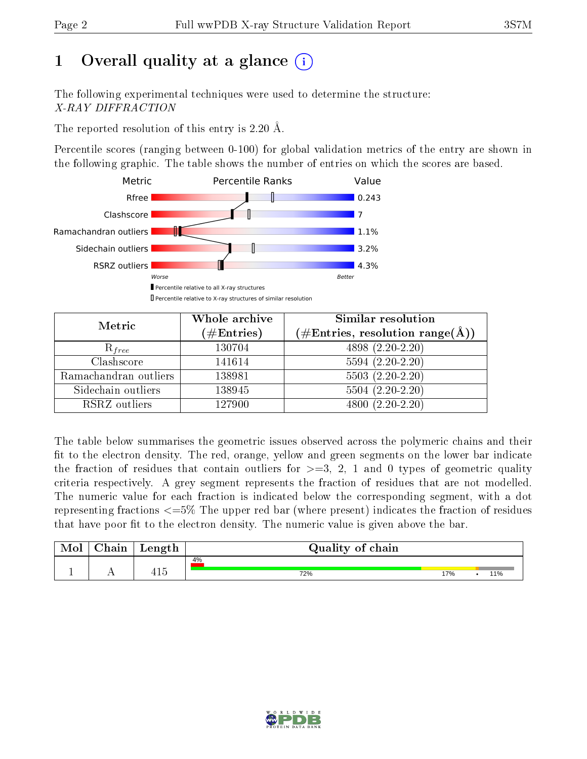# 1 [O](https://www.wwpdb.org/validation/2017/XrayValidationReportHelp#overall_quality)verall quality at a glance  $(i)$

The following experimental techniques were used to determine the structure: X-RAY DIFFRACTION

The reported resolution of this entry is 2.20 Å.

Percentile scores (ranging between 0-100) for global validation metrics of the entry are shown in the following graphic. The table shows the number of entries on which the scores are based.



| Metric                | Whole archive<br>$(\#\text{Entries})$ | Similar resolution<br>$(\#\text{Entries},\, \text{resolution}\; \text{range}(\textup{\AA}))$ |  |  |
|-----------------------|---------------------------------------|----------------------------------------------------------------------------------------------|--|--|
| $R_{free}$            | 130704                                | $4898(2.20-2.20)$                                                                            |  |  |
| Clashscore            | 141614                                | $5594(2.20-2.20)$                                                                            |  |  |
| Ramachandran outliers | 138981                                | $5503(2.20-2.20)$                                                                            |  |  |
| Sidechain outliers    | 138945                                | $5504(2.20-2.20)$                                                                            |  |  |
| RSRZ outliers         | 127900                                | $4800(2.20-2.20)$                                                                            |  |  |

The table below summarises the geometric issues observed across the polymeric chains and their fit to the electron density. The red, orange, yellow and green segments on the lower bar indicate the fraction of residues that contain outliers for  $>=3, 2, 1$  and 0 types of geometric quality criteria respectively. A grey segment represents the fraction of residues that are not modelled. The numeric value for each fraction is indicated below the corresponding segment, with a dot representing fractions  $\epsilon=5\%$  The upper red bar (where present) indicates the fraction of residues that have poor fit to the electron density. The numeric value is given above the bar.

| Mol           | aain ' | Length      | Quality of chain |     |  |     |  |  |  |
|---------------|--------|-------------|------------------|-----|--|-----|--|--|--|
|               |        |             | 4%               |     |  |     |  |  |  |
| <u>. на п</u> | . .    | $-1$<br>4⊥Շ | 72%              | 17% |  | 11% |  |  |  |

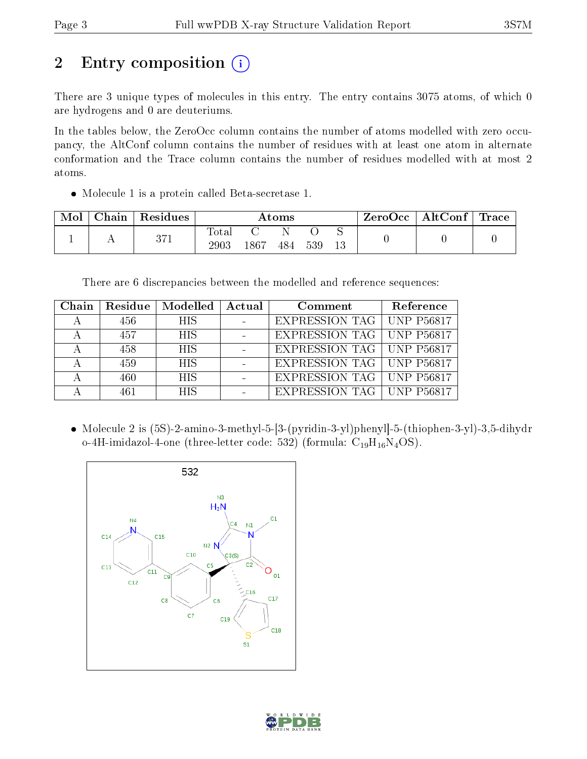# 2 Entry composition (i)

There are 3 unique types of molecules in this entry. The entry contains 3075 atoms, of which 0 are hydrogens and 0 are deuteriums.

In the tables below, the ZeroOcc column contains the number of atoms modelled with zero occupancy, the AltConf column contains the number of residues with at least one atom in alternate conformation and the Trace column contains the number of residues modelled with at most 2 atoms.

Molecule 1 is a protein called Beta-secretase 1.

| Mol | Chain | Residues | $\rm{Atoms}$            |      |     |     |  | $ZeroOcc \mid AltConf \mid$ | $\vert$ Trace $\vert$ |
|-----|-------|----------|-------------------------|------|-----|-----|--|-----------------------------|-----------------------|
|     |       | 371      | $\rm Total$<br>$2903\,$ | 1867 | 484 | 539 |  |                             |                       |

There are 6 discrepancies between the modelled and reference sequences:

| Chain | Residue | $\blacksquare$ Modelled $\blacksquare$ Actual | Comment                            | Reference |
|-------|---------|-----------------------------------------------|------------------------------------|-----------|
|       | 456     | HIS.                                          | EXPRESSION TAG   UNP P56817        |           |
|       | 457     | <b>HIS</b>                                    | EXPRESSION TAG   UNP P56817        |           |
|       | 458     | <b>HIS</b>                                    | EXPRESSION TAG   UNP P56817        |           |
|       | 459     | <b>HIS</b>                                    | <b>EXPRESSION TAG   UNP P56817</b> |           |
|       | 460     | <b>HIS</b>                                    | EXPRESSION TAG   UNP P56817        |           |
|       | 461     | <b>HIS</b>                                    | EXPRESSION TAG   UNP P56817        |           |

 Molecule 2 is (5S)-2-amino-3-methyl-5-[3-(pyridin-3-yl)phenyl]-5-(thiophen-3-yl)-3,5-dihydr o-4H-imidazol-4-one (three-letter code: 532) (formula:  $C_{19}H_{16}N_4OS$ ).



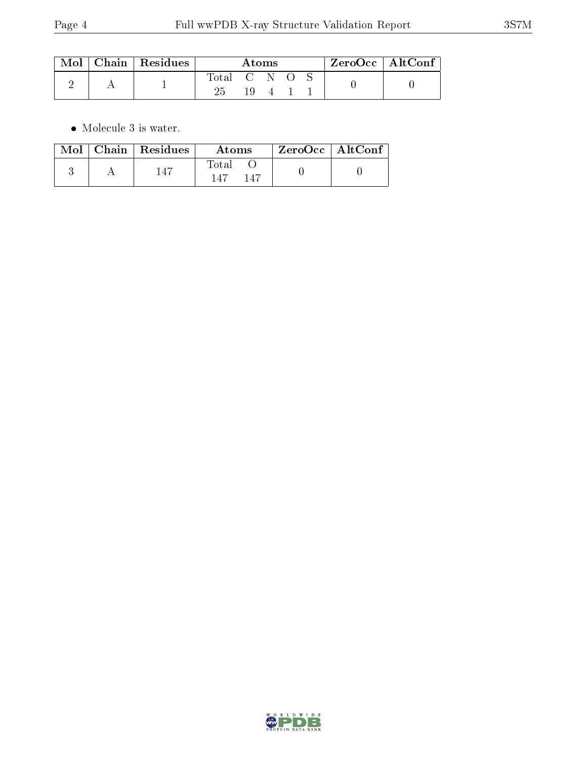| $\text{Mol}$ | $\vert$ Chain $\vert$ Residues | Atoms     |  |  | $ZeroOcc \mid AltConf$ |  |  |
|--------------|--------------------------------|-----------|--|--|------------------------|--|--|
|              |                                | Total C N |  |  |                        |  |  |
|              |                                | 25        |  |  |                        |  |  |

 $\bullet\,$  Molecule 3 is water.

| Mol | Chain   Residues | Atoms               | ZeroOcc   AltConf |  |
|-----|------------------|---------------------|-------------------|--|
|     | -147             | Total<br>147<br>147 |                   |  |

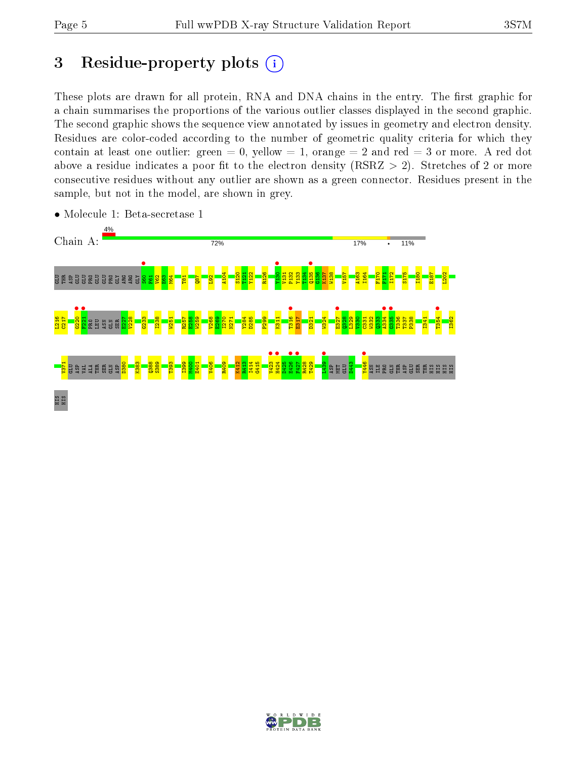# 3 Residue-property plots  $(i)$

These plots are drawn for all protein, RNA and DNA chains in the entry. The first graphic for a chain summarises the proportions of the various outlier classes displayed in the second graphic. The second graphic shows the sequence view annotated by issues in geometry and electron density. Residues are color-coded according to the number of geometric quality criteria for which they contain at least one outlier: green  $= 0$ , yellow  $= 1$ , orange  $= 2$  and red  $= 3$  or more. A red dot above a residue indicates a poor fit to the electron density (RSRZ  $> 2$ ). Stretches of 2 or more consecutive residues without any outlier are shown as a green connector. Residues present in the sample, but not in the model, are shown in grey.



• Molecule 1: Beta-secretase 1

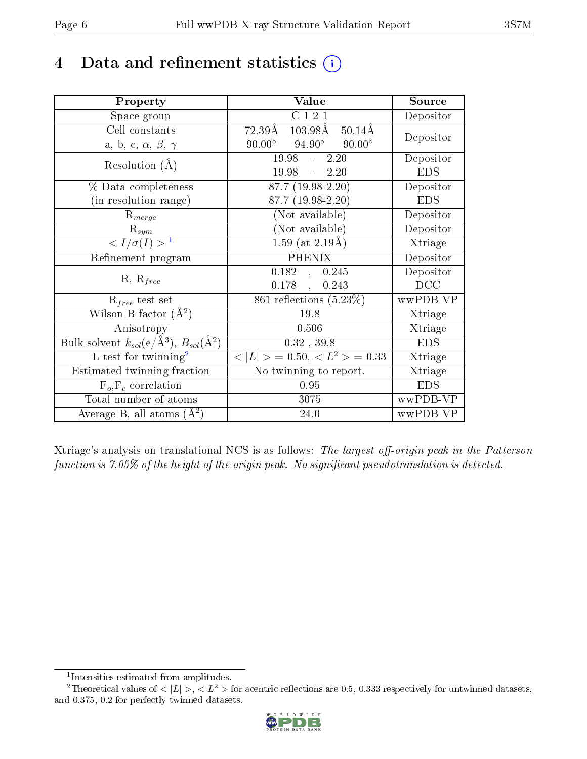# 4 Data and refinement statistics  $(i)$

| Property                                                         | Value                                              | Source     |
|------------------------------------------------------------------|----------------------------------------------------|------------|
| Space group                                                      | C 1 2 1                                            | Depositor  |
| Cell constants                                                   | 72.39Å<br>103.98Å 50.14Å                           |            |
| a, b, c, $\alpha$ , $\beta$ , $\gamma$                           | $94.90^{\circ}$ $90.00^{\circ}$<br>$90.00^{\circ}$ | Depositor  |
| Resolution $(A)$                                                 | $19.98 - 2.20$                                     | Depositor  |
|                                                                  | $19.98 = 2.20$                                     | <b>EDS</b> |
| % Data completeness                                              | $87.7(19.98-2.20)$                                 | Depositor  |
| (in resolution range)                                            | 87.7 (19.98-2.20)                                  | <b>EDS</b> |
| $R_{merge}$                                                      | (Not available)                                    | Depositor  |
| $\mathrm{R}_{sym}$                                               | (Not available)                                    | Depositor  |
| $\langle I/\sigma(I) \rangle^{-1}$                               | 1.59 (at $2.19\text{\AA}$ )                        | Xtriage    |
| Refinement program                                               | <b>PHENIX</b>                                      | Depositor  |
| $R, R_{free}$                                                    | 0.182, 0.245                                       | Depositor  |
|                                                                  | $0.178$ ,<br>0.243                                 | DCC        |
| $\mathcal{R}_{free}$ test set                                    | 861 reflections $(5.23\%)$                         | wwPDB-VP   |
| Wilson B-factor $(A^2)$                                          | 19.8                                               | Xtriage    |
| Anisotropy                                                       | 0.506                                              | Xtriage    |
| Bulk solvent $k_{sol}(\text{e}/\text{A}^3), B_{sol}(\text{A}^2)$ | $0.32$ , $39.8$                                    | <b>EDS</b> |
| L-test for $\mathrm{twinning}^2$                                 | $< L >$ = 0.50, $< L^2 >$ = 0.33                   | Xtriage    |
| Estimated twinning fraction                                      | $\overline{\text{No}}$ twinning to report.         | Xtriage    |
| $F_o, F_c$ correlation                                           | 0.95                                               | <b>EDS</b> |
| Total number of atoms                                            | 3075                                               | wwPDB-VP   |
| Average B, all atoms $(A^2)$                                     | 24.0                                               | wwPDB-VP   |

Xtriage's analysis on translational NCS is as follows: The largest off-origin peak in the Patterson function is  $7.05\%$  of the height of the origin peak. No significant pseudotranslation is detected.

<sup>&</sup>lt;sup>2</sup>Theoretical values of  $\langle |L| \rangle$ ,  $\langle L^2 \rangle$  for acentric reflections are 0.5, 0.333 respectively for untwinned datasets, and 0.375, 0.2 for perfectly twinned datasets.



<span id="page-5-1"></span><span id="page-5-0"></span><sup>1</sup> Intensities estimated from amplitudes.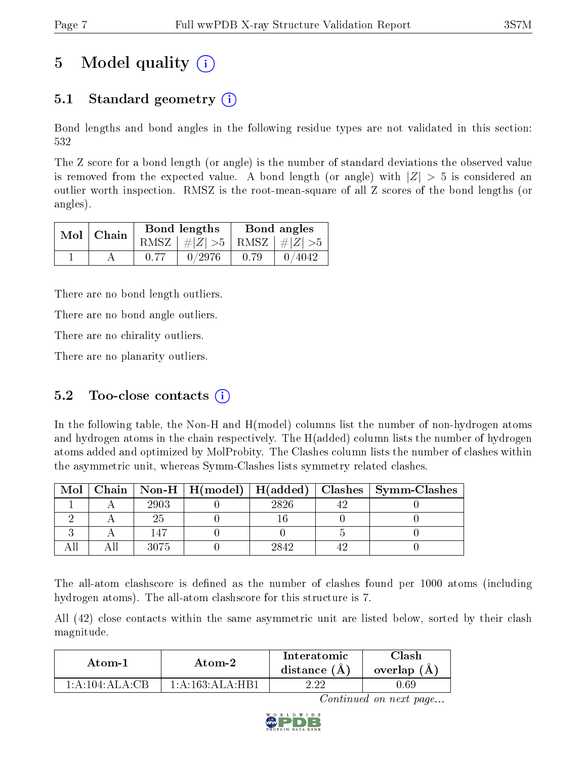# 5 Model quality  $(i)$

## 5.1 Standard geometry  $(i)$

Bond lengths and bond angles in the following residue types are not validated in this section: 532

The Z score for a bond length (or angle) is the number of standard deviations the observed value is removed from the expected value. A bond length (or angle) with  $|Z| > 5$  is considered an outlier worth inspection. RMSZ is the root-mean-square of all Z scores of the bond lengths (or angles).

|  | $Mol$   Chain | Bond lengths                    | Bond angles |        |  |
|--|---------------|---------------------------------|-------------|--------|--|
|  |               | RMSZ $ #Z  > 5$ RMSZ $ #Z  > 5$ |             |        |  |
|  |               | 0/2976                          | 0.79        | 0/4042 |  |

There are no bond length outliers.

There are no bond angle outliers.

There are no chirality outliers.

There are no planarity outliers.

### 5.2 Too-close contacts  $(i)$

In the following table, the Non-H and H(model) columns list the number of non-hydrogen atoms and hydrogen atoms in the chain respectively. The H(added) column lists the number of hydrogen atoms added and optimized by MolProbity. The Clashes column lists the number of clashes within the asymmetric unit, whereas Symm-Clashes lists symmetry related clashes.

| Mol |      |      | Chain   Non-H   H(model)   H(added)   Clashes   Symm-Clashes |
|-----|------|------|--------------------------------------------------------------|
|     | 2903 | 2826 |                                                              |
|     |      |      |                                                              |
|     |      |      |                                                              |
|     | 3075 | 2842 |                                                              |

The all-atom clashscore is defined as the number of clashes found per 1000 atoms (including hydrogen atoms). The all-atom clashscore for this structure is 7.

All (42) close contacts within the same asymmetric unit are listed below, sorted by their clash magnitude.

| Atom-2                       |                 | Interatomic    | 7lash       |  |
|------------------------------|-----------------|----------------|-------------|--|
| Atom-1                       |                 | distance $(A)$ | overlap (A) |  |
| $1:\!A:\!104:\!A\!L\!A:\!CB$ | 1:A:163:ALA:HB1 | າ າາ           | J.69-       |  |

Continued on next page...

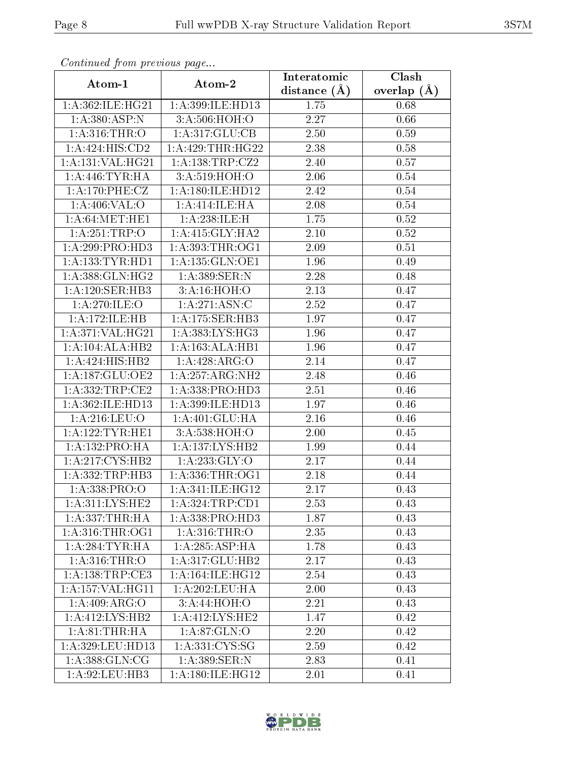| Communa from previous page     |                             | Interatomic       | Clash         |  |
|--------------------------------|-----------------------------|-------------------|---------------|--|
| Atom-1                         | Atom-2                      | distance $(A)$    | overlap $(A)$ |  |
| 1:A:362:ILE:HG21               | 1:A:399:ILE:HD13            | $\overline{1.75}$ | 0.68          |  |
| 1: A:380: ASP:N                | 3:A:506:HOH:O               | 2.27              | 0.66          |  |
| 1: A:316:THR:O                 | $1:A:317:GLU:\overline{CB}$ | 2.50              | 0.59          |  |
| 1:A:424:HIS:CD2                | 1:A:429:THR:HG22            | 2.38              | 0.58          |  |
| 1:A:131:VAL:HG21               | 1:A:138:TRP:CZ2             | 2.40              | 0.57          |  |
| 1: A:446:TYR:HA                | 3: A:519:HOH:O              | 2.06              | 0.54          |  |
| $1: A:170: PHE: \overline{CZ}$ | 1: A:180: ILE: HD12         | 2.42              | 0.54          |  |
| 1:A:406:VAL:O                  | 1: A:414: ILE: HA           | 2.08              | 0.54          |  |
| 1: A:64: MET:HE1               | 1:A:238:ILE:H               | 1.75              | $0.52\,$      |  |
| 1:A:251:TRP:O                  | 1:A:415:GLY:HA2             | 2.10              | 0.52          |  |
| 1:A:299:PRO:HD3                | 1: A:393:THR:OG1            | 2.09              | 0.51          |  |
| 1:A:133:TYR:HD1                | 1: A: 135: GLN: OE1         | 1.96              | 0.49          |  |
| 1: A: 388: GLN: HG2            | $1: A: 389$ : SER: N        | 2.28              | 0.48          |  |
| 1:A:120:SER:HB3                | 3:A:16:HOH:O                | 2.13              | 0.47          |  |
| 1:A:270:ILE:O                  | 1: A:271: ASN: C            | 2.52              | 0.47          |  |
| 1:A:172:ILE:HB                 | 1:A:175:SER:HB3             | 1.97              | 0.47          |  |
| 1:A:371:VAL:HG21               | 1: A: 383: LYS: HG3         | 1.96              | 0.47          |  |
| 1:A:104:ALA:HB2                | 1:A:163:ALA:HB1             | 1.96              | 0.47          |  |
| 1:A:424:HIS:HB2                | 1:A:428:ARG:O               | 2.14              | 0.47          |  |
| 1:A:187:GLU:OE2                | 1: A:257: ARG: NH2          | 2.48              | 0.46          |  |
| 1:A:332:TRP:CE2                | 1:A:338:PRO:HD3             | 2.51              | 0.46          |  |
| 1: A:362: ILE: HD13            | 1:A:399:ILE:HD13            | 1.97              | 0.46          |  |
| 1: A:216:LEU:O                 | 1:A:401:GLU:HA              | 2.16              | 0.46          |  |
| 1: A:122:TYR:HE1               | 3:A:538:HOH:O               | 2.00              | 0.45          |  |
| 1:A:132:PRO:HA                 | 1:A:137:LYS:HB2             | 1.99              | 0.44          |  |
| 1: A:217: CYS:HB2              | 1: A: 233: GLY: O           | 2.17              | 0.44          |  |
| 1:A:332:TRP:HB3                | 1: A: 336: THR: OG1         | 2.18              | 0.44          |  |
| 1: A: 338: PRO:O               | 1: A:341: ILE: HGI2         | 2.17              | 0.43          |  |
| 1:A:311:LYS:HE2                | 1:A:324:TRP:CD1             | 2.53              | 0.43          |  |
| 1: A: 337: THR: HA             | 1:A:338:PRO:HD3             | 1.87              | 0.43          |  |
| $1: A:316:THR:$ OG1            | 1: A:316:THR:O              | 2.35              | 0.43          |  |
| 1: A:284:TYR:HA                | 1: A:285:ASP:HA             | 1.78              | 0.43          |  |
| 1: A:316:THR:O                 | 1:A:317:GLU:HB2             | 2.17              | 0.43          |  |
| 1: A: 138: TRP: CE3            | 1: A:164: ILE: HG12         | 2.54              | 0.43          |  |
| 1: A: 157: VAL: HG11           | 1: A:202:LEU:HA             | 2.00              | 0.43          |  |
| 1:A:409:ARG:O                  | 3:A:44:HOH:O                | 2.21              | 0.43          |  |
| 1:A:412:LYS:HB2                | 1:A:412:LYS:HE2             | 1.47              | 0.42          |  |
| 1: A:81:THR:HA                 | 1: A:87: GLN:O              | 2.20              | 0.42          |  |
| 1:A:329:LEU:HD13               | 1: A: 331: CYS: SG          | 2.59              | 0.42          |  |
| 1: A: 388: GLN: CG             | 1:A:389:SER:N               | 2.83              | 0.41          |  |
| 1: A:92:LEU:HB3                | 1:A:180:ILE:HG12            | 2.01              | 0.41          |  |

Continued from previous page.

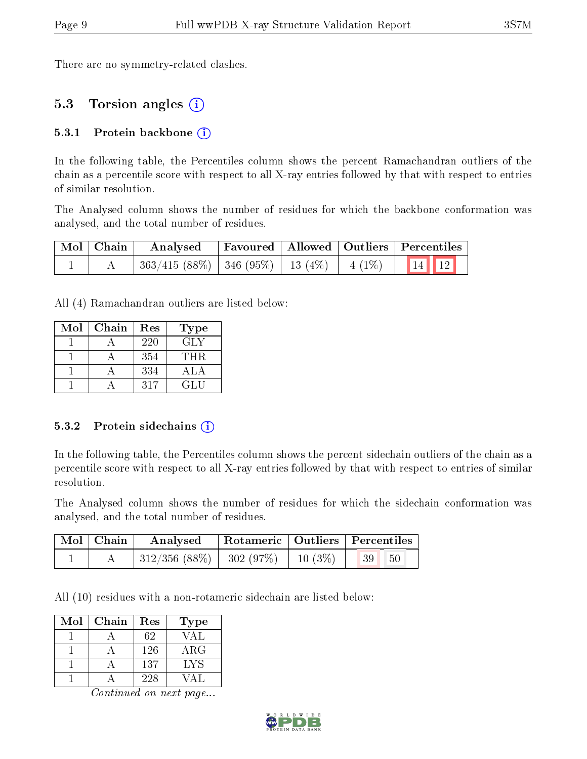There are no symmetry-related clashes.

### 5.3 Torsion angles (i)

#### 5.3.1 Protein backbone  $(i)$

In the following table, the Percentiles column shows the percent Ramachandran outliers of the chain as a percentile score with respect to all X-ray entries followed by that with respect to entries of similar resolution.

The Analysed column shows the number of residues for which the backbone conformation was analysed, and the total number of residues.

| Mol   Chain | Analysed                                                            |  | Favoured   Allowed   Outliers   Percentiles |
|-------------|---------------------------------------------------------------------|--|---------------------------------------------|
|             | $\frac{1}{1363}/415(88\%)$   346 (95%)   13 (4%)   4 (1%)   14   12 |  |                                             |

All (4) Ramachandran outliers are listed below:

| Mol | Chain | Res | <b>Type</b>      |
|-----|-------|-----|------------------|
|     |       | 220 | GLY              |
|     |       | 354 | THR.             |
|     |       | 334 | A <sup>T</sup> A |
|     |       | 317 | GLU              |

#### 5.3.2 Protein sidechains  $(i)$

In the following table, the Percentiles column shows the percent sidechain outliers of the chain as a percentile score with respect to all X-ray entries followed by that with respect to entries of similar resolution.

The Analysed column shows the number of residues for which the sidechain conformation was analysed, and the total number of residues.

| $\mid$ Mol $\mid$ Chain $\mid$ |                                                             | Analysed   Rotameric   Outliers   Percentiles |  |           |  |
|--------------------------------|-------------------------------------------------------------|-----------------------------------------------|--|-----------|--|
|                                | $\mid$ 312/356 (88%) $\mid$ 302 (97%) $\mid$ 10 (3%) $\mid$ |                                               |  | 39 <br>50 |  |

All (10) residues with a non-rotameric sidechain are listed below:

| Mol | Chain | Res | Type       |
|-----|-------|-----|------------|
|     |       | 62  | VAL        |
|     |       | 126 | $\rm{ARG}$ |
|     |       | 137 | LYS        |
|     |       | 228 |            |

Continued on next page...

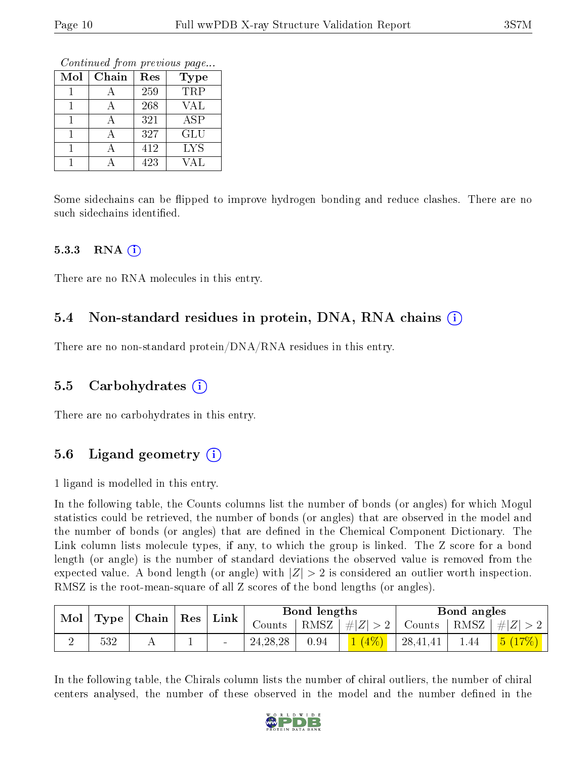Continued from previous page...

| Mol | Chain | Res | <b>Type</b> |
|-----|-------|-----|-------------|
|     |       | 259 | <b>TRP</b>  |
|     |       | 268 | VAL         |
|     |       | 321 | ASP         |
|     |       | 327 | <b>GLU</b>  |
|     |       | 412 | <b>LYS</b>  |
|     |       | 423 | VAL         |

Some sidechains can be flipped to improve hydrogen bonding and reduce clashes. There are no such sidechains identified.

#### $5.3.3$  RNA  $(i)$

There are no RNA molecules in this entry.

### 5.4 Non-standard residues in protein, DNA, RNA chains (i)

There are no non-standard protein/DNA/RNA residues in this entry.

#### 5.5 Carbohydrates (i)

There are no carbohydrates in this entry.

### 5.6 Ligand geometry  $(i)$

1 ligand is modelled in this entry.

In the following table, the Counts columns list the number of bonds (or angles) for which Mogul statistics could be retrieved, the number of bonds (or angles) that are observed in the model and the number of bonds (or angles) that are defined in the Chemical Component Dictionary. The Link column lists molecule types, if any, to which the group is linked. The Z score for a bond length (or angle) is the number of standard deviations the observed value is removed from the expected value. A bond length (or angle) with  $|Z| > 2$  is considered an outlier worth inspection. RMSZ is the root-mean-square of all Z scores of the bond lengths (or angles).

|  | Mol<br>Type   Chain   Res   Link |        |            | Bond lengths                                                       |         |          | Bond angles |        |
|--|----------------------------------|--------|------------|--------------------------------------------------------------------|---------|----------|-------------|--------|
|  |                                  | Counts |            | $\vert$ RMSZ $\vert \#  Z  > 2$ Counts $\vert$ RMSZ $\vert \#  Z $ |         |          |             |        |
|  | $532\,$                          |        | 24, 28, 28 | 0.94                                                               | $(4\%)$ | 28,41,41 | 1.44        | 5(17%) |

In the following table, the Chirals column lists the number of chiral outliers, the number of chiral centers analysed, the number of these observed in the model and the number defined in the

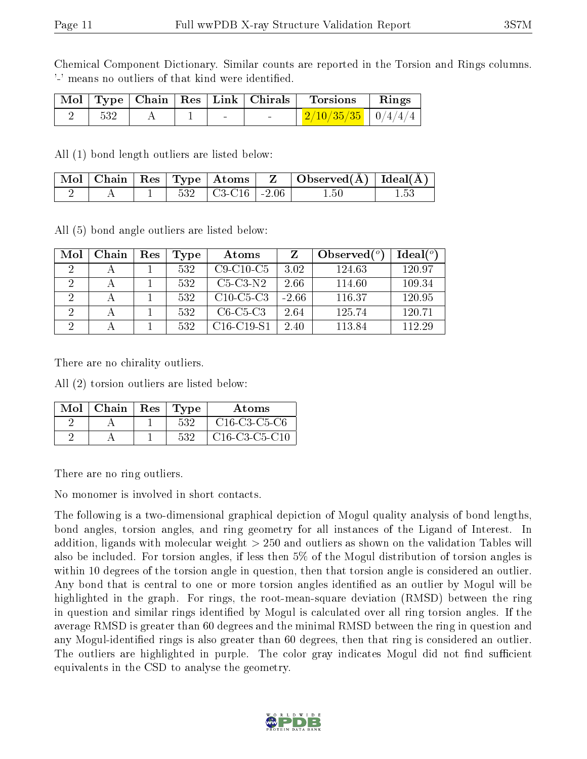Chemical Component Dictionary. Similar counts are reported in the Torsion and Rings columns. '-' means no outliers of that kind were identified.

|  |  |        | $\vert$ Mol $\vert$ Type $\vert$ Chain $\vert$ Res $\vert$ Link $\vert$ Chirals $\vert$ Torsions | Rings |
|--|--|--------|--------------------------------------------------------------------------------------------------|-------|
|  |  | $\sim$ | $2/10/35/35$   $0/4/4/4$                                                                         |       |

All (1) bond length outliers are listed below:

|  |  |                                  | $\perp \mathrm{Mol} \mid \mathrm{Chain} \mid \mathrm{Res} \mid \mathrm{Type} \mid \mathrm{Atoms} \mid \mathrm{\ Z \ }\mid \mathrm{Observed(A)} \mid \mathrm{Ideal(A)} \mid \mathrm{Area}(\mathrm{A}) \mid \mathrm{Area}(\mathrm{A}) \mid \mathrm{Area}(\mathrm{A}) \mid \mathrm{Area}(\mathrm{A}) \mid \mathrm{Area}(\mathrm{A}) \mid \mathrm{Area}(\mathrm{A}) \mid \mathrm{Area}(\mathrm{A}) \mid \mathrm{Area}(\mathrm{A}) \mid \mathrm{Area}(\mathrm{A}) \mid \mathrm{Area}(\mathrm{A}) \mid \mathrm{Area}(\mathrm{A}) \mid \mathrm{Area}(\mathrm{A}) \mid \mathrm{Area}(\mathrm{A}) \mid \$ |      |
|--|--|----------------------------------|--------------------------------------------------------------------------------------------------------------------------------------------------------------------------------------------------------------------------------------------------------------------------------------------------------------------------------------------------------------------------------------------------------------------------------------------------------------------------------------------------------------------------------------------------------------------------------------------------|------|
|  |  | $532$ $\mid$ C3-C16 $\mid$ -2.06 | $1.50\,$                                                                                                                                                                                                                                                                                                                                                                                                                                                                                                                                                                                         | 1.53 |

All (5) bond angle outliers are listed below:

| Mol      | Chain | $\operatorname{Res}% \left( \mathcal{N}\right) \equiv\operatorname{Res}(\mathcal{N}_{0})\cap\mathcal{N}_{1}$ | Type | Atoms        |         | Observed $(°)$ | Ideal $(°)$ |
|----------|-------|--------------------------------------------------------------------------------------------------------------|------|--------------|---------|----------------|-------------|
|          |       |                                                                                                              | 532  | $C9-C10-C5$  | 3.02    | 124.63         | 120.97      |
|          |       |                                                                                                              | 532  | $C5-C3-N2$   | 2.66    | 114.60         | 109.34      |
|          |       |                                                                                                              | 532  | $C10-C5-C3$  | $-2.66$ | 116.37         | 120.95      |
| 2        |       |                                                                                                              | 532  | $C6-C5-C3$   | 2.64    | 125.74         | 120.71      |
| $\Omega$ |       |                                                                                                              | 532  | $C16-C19-S1$ | 2.40    | 113.84         | 112.29      |

There are no chirality outliers.

All (2) torsion outliers are listed below:

| Mol | Chain | $\operatorname{Res}% \left( \mathcal{N}\right) \equiv\operatorname{Res}(\mathcal{N}_{0})\cap\operatorname{Res}(\mathcal{N}_{0})$ | 'Type | Atoms           |
|-----|-------|----------------------------------------------------------------------------------------------------------------------------------|-------|-----------------|
|     |       |                                                                                                                                  | 532   | $C16-C3-C5-C6$  |
|     |       |                                                                                                                                  | 532   | $C16-C3-C5-C10$ |

There are no ring outliers.

No monomer is involved in short contacts.

The following is a two-dimensional graphical depiction of Mogul quality analysis of bond lengths, bond angles, torsion angles, and ring geometry for all instances of the Ligand of Interest. In addition, ligands with molecular weight > 250 and outliers as shown on the validation Tables will also be included. For torsion angles, if less then 5% of the Mogul distribution of torsion angles is within 10 degrees of the torsion angle in question, then that torsion angle is considered an outlier. Any bond that is central to one or more torsion angles identified as an outlier by Mogul will be highlighted in the graph. For rings, the root-mean-square deviation (RMSD) between the ring in question and similar rings identified by Mogul is calculated over all ring torsion angles. If the average RMSD is greater than 60 degrees and the minimal RMSD between the ring in question and any Mogul-identified rings is also greater than 60 degrees, then that ring is considered an outlier. The outliers are highlighted in purple. The color gray indicates Mogul did not find sufficient equivalents in the CSD to analyse the geometry.

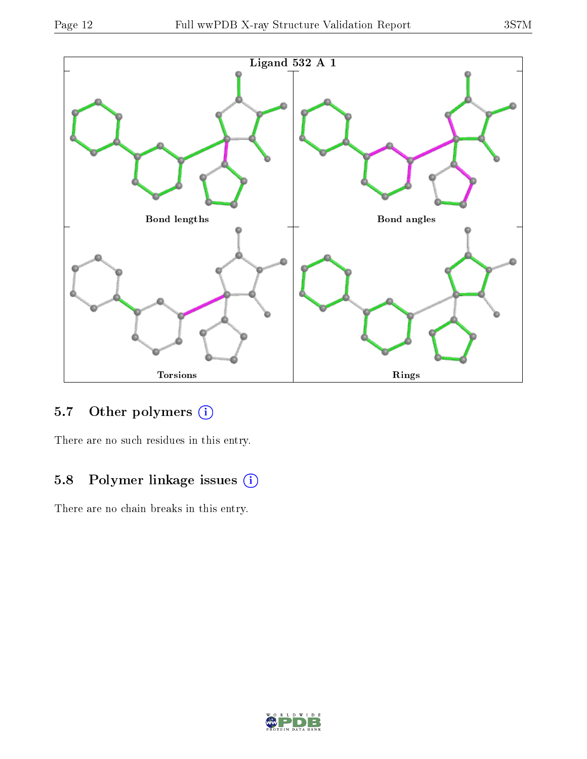

## 5.7 [O](https://www.wwpdb.org/validation/2017/XrayValidationReportHelp#nonstandard_residues_and_ligands)ther polymers (i)

There are no such residues in this entry.

### 5.8 Polymer linkage issues (i)

There are no chain breaks in this entry.

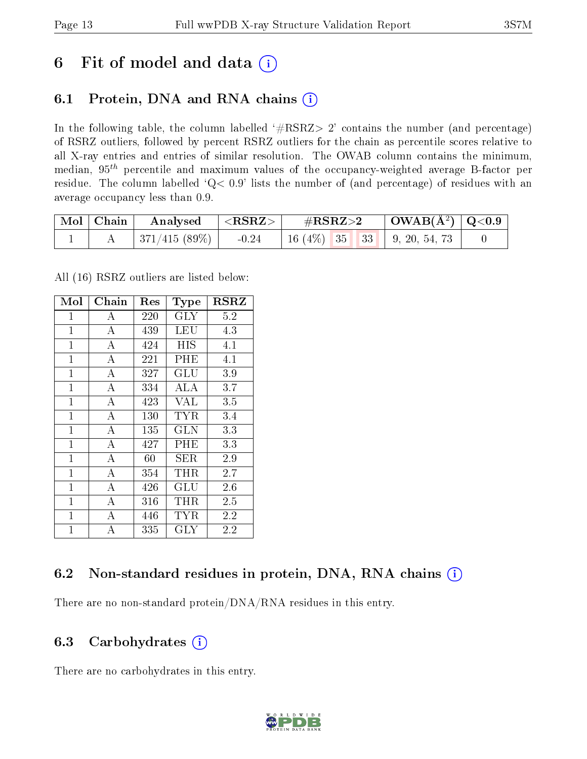## 6 Fit of model and data  $(i)$

## 6.1 Protein, DNA and RNA chains  $(i)$

In the following table, the column labelled  $#RSRZ> 2'$  contains the number (and percentage) of RSRZ outliers, followed by percent RSRZ outliers for the chain as percentile scores relative to all X-ray entries and entries of similar resolution. The OWAB column contains the minimum, median,  $95<sup>th</sup>$  percentile and maximum values of the occupancy-weighted average B-factor per residue. The column labelled ' $Q< 0.9$ ' lists the number of (and percentage) of residues with an average occupancy less than 0.9.

| $\mid$ Mol $\mid$ Chain | $\mid$ Analysed $\mid$ <rsrz> <math>\mid</math></rsrz> | $\rm \#RSRZ{>}2$                   | $\mid$ OWAB(Å <sup>2</sup> ) $\mid$ Q<0.9 $\mid$ |  |
|-------------------------|--------------------------------------------------------|------------------------------------|--------------------------------------------------|--|
|                         | 371/415 (89%)   $-0.24$                                | 16 (4\%)   35   33   9, 20, 54, 73 |                                                  |  |

All (16) RSRZ outliers are listed below:

| Mol            | Chain              | $\operatorname{Res}% \left( \mathcal{N}\right) \equiv\operatorname{Res}(\mathcal{N}_{0})\cap\mathcal{N}_{1}$ | <b>Type</b>          | $_{\rm RSRZ}$ |  |
|----------------|--------------------|--------------------------------------------------------------------------------------------------------------|----------------------|---------------|--|
| $\mathbf{1}$   | А                  | 220                                                                                                          | $\rm GLY$            | 5.2           |  |
| $\mathbf{1}$   | $\boldsymbol{A}$   | 439                                                                                                          | LEU                  | 4.3           |  |
| $\mathbf{1}$   | $\boldsymbol{A}$   | 424                                                                                                          | HIS                  | 4.1           |  |
| $\mathbf{1}$   | $\bf{A}$           | 221                                                                                                          | PHE                  | 4.1           |  |
| $\mathbf{1}$   | $\overline{\rm A}$ | 327                                                                                                          | $\operatorname{GLU}$ | 3.9           |  |
| 1              | А                  | 334                                                                                                          | ALA                  | 3.7           |  |
| $\mathbf{1}$   | А                  | 423                                                                                                          | <b>VAL</b>           | 3.5           |  |
| $\mathbf{1}$   | $\boldsymbol{A}$   | 130                                                                                                          | TYR                  | $3.4\,$       |  |
| $\mathbf{1}$   | $\bf{A}$           | 135                                                                                                          | GLN                  | 3.3           |  |
| $\mathbf{1}$   | $\overline{\rm A}$ | 427                                                                                                          | PHE                  | 3.3           |  |
| $\overline{1}$ | $\bf{A}$           | 60                                                                                                           | SER.                 | 2.9           |  |
| $\mathbf{1}$   | A                  | 354                                                                                                          | THR                  | 2.7           |  |
| $\overline{1}$ | А                  | 426                                                                                                          | $\operatorname{GLU}$ | 2.6           |  |
| $\mathbf{1}$   | $\overline{A}$     | $316\,$                                                                                                      | THR                  | 2.5           |  |
| $\mathbf{1}$   | $\bf{A}$           | 446                                                                                                          | TYR                  | 2.2           |  |
| $\mathbf 1$    | $\overline{A}$     | 335                                                                                                          | GLY                  | 2.2           |  |

### 6.2 Non-standard residues in protein, DNA, RNA chains  $(i)$

There are no non-standard protein/DNA/RNA residues in this entry.

### 6.3 Carbohydrates (i)

There are no carbohydrates in this entry.